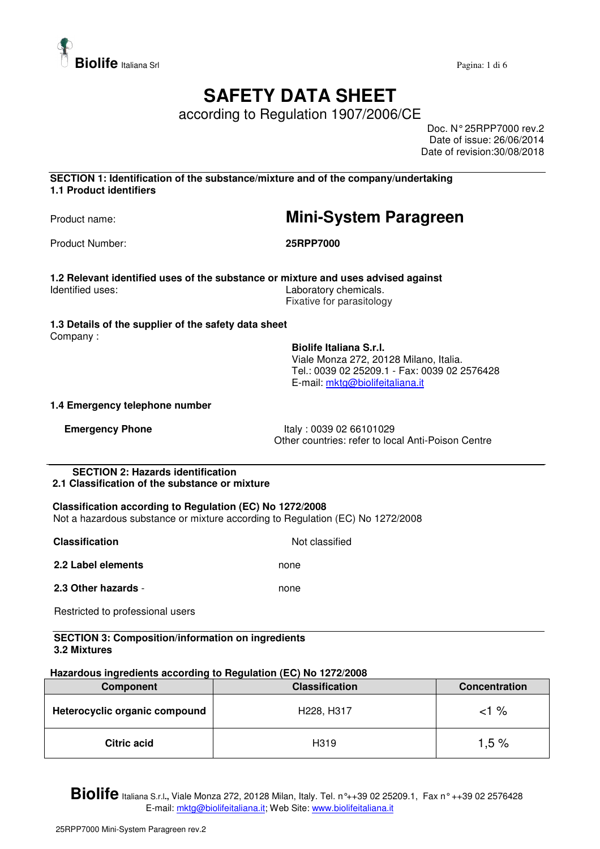

# **SAFETY DATA SHEET**

according to Regulation 1907/2006/CE

Doc. N° 25RPP7000 rev.2 Date of issue: 26/06/2014 Date of revision:30/08/2018

**SECTION 1: Identification of the substance/mixture and of the company/undertaking 1.1 Product identifiers** 

## Product name: **Mini-System Paragreen**

Product Number: **25RPP7000** 

**1.2 Relevant identified uses of the substance or mixture and uses advised against**  Identified uses: Laboratory chemicals. Fixative for parasitology

### **1.3 Details of the supplier of the safety data sheet**

Company :

**Biolife Italiana S.r.l.**  Viale Monza 272, 20128 Milano, Italia. Tel.: 0039 02 25209.1 - Fax: 0039 02 2576428 E-mail: mktg@biolifeitaliana.it

### **1.4 Emergency telephone number**

**Emergency Phone** Italy : 0039 02 66101029 Other countries: refer to local Anti-Poison Centre

#### **SECTION 2: Hazards identification 2.1 Classification of the substance or mixture**

## **Classification according to Regulation (EC) No 1272/2008**

Not a hazardous substance or mixture according to Regulation (EC) No 1272/2008

| <b>Classification</b> | Not classified |
|-----------------------|----------------|
| 2.2 Label elements    | none           |
| 2.3 Other hazards -   | none           |

Restricted to professional users

#### **SECTION 3: Composition/information on ingredients 3.2 Mixtures**

### **Hazardous ingredients according to Regulation (EC) No 1272/2008**

| Component                     | <b>Classification</b> | <b>Concentration</b> |
|-------------------------------|-----------------------|----------------------|
| Heterocyclic organic compound | H228, H317            | <1 %                 |
| <b>Citric acid</b>            | H <sub>3</sub> 19     | 1.5%                 |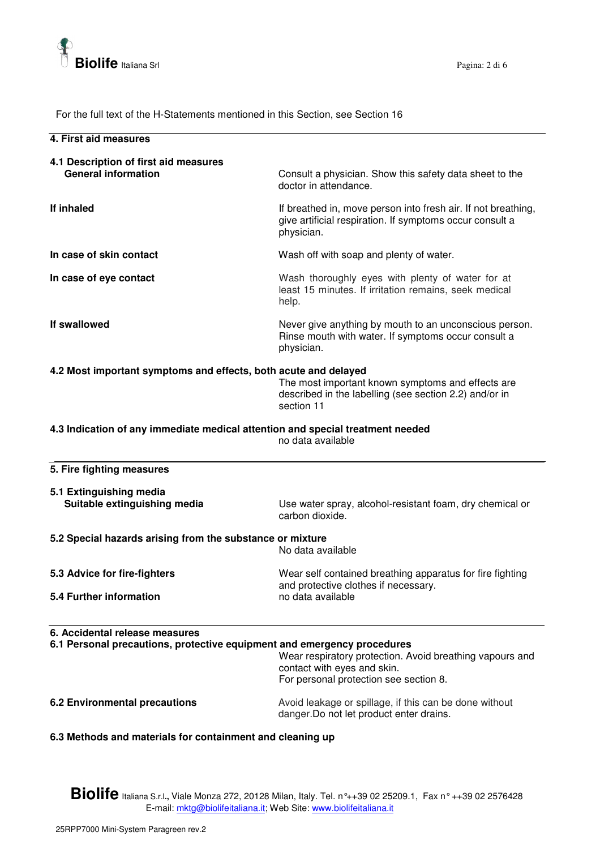

For the full text of the H-Statements mentioned in this Section, see Section 16

| <u>I OF the full text of the FI-Statements membried in this Section, see Section To</u>                   |                                                                                                                                         |
|-----------------------------------------------------------------------------------------------------------|-----------------------------------------------------------------------------------------------------------------------------------------|
| 4. First aid measures                                                                                     |                                                                                                                                         |
| 4.1 Description of first aid measures<br><b>General information</b>                                       | Consult a physician. Show this safety data sheet to the<br>doctor in attendance.                                                        |
| If inhaled                                                                                                | If breathed in, move person into fresh air. If not breathing,<br>give artificial respiration. If symptoms occur consult a<br>physician. |
| In case of skin contact                                                                                   | Wash off with soap and plenty of water.                                                                                                 |
| In case of eye contact                                                                                    | Wash thoroughly eyes with plenty of water for at<br>least 15 minutes. If irritation remains, seek medical<br>help.                      |
| If swallowed                                                                                              | Never give anything by mouth to an unconscious person.<br>Rinse mouth with water. If symptoms occur consult a<br>physician.             |
| 4.2 Most important symptoms and effects, both acute and delayed                                           | The most important known symptoms and effects are<br>described in the labelling (see section 2.2) and/or in<br>section 11               |
| 4.3 Indication of any immediate medical attention and special treatment needed                            | no data available                                                                                                                       |
| 5. Fire fighting measures                                                                                 |                                                                                                                                         |
| 5.1 Extinguishing media<br>Suitable extinguishing media                                                   | Use water spray, alcohol-resistant foam, dry chemical or<br>carbon dioxide.                                                             |
| 5.2 Special hazards arising from the substance or mixture                                                 | No data available                                                                                                                       |
| 5.3 Advice for fire-fighters                                                                              | Wear self contained breathing apparatus for fire fighting                                                                               |
| 5.4 Further information                                                                                   | and protective clothes if necessary.<br>no data available                                                                               |
| 6. Accidental release measures<br>6.1 Personal precautions, protective equipment and emergency procedures | Wear respiratory protection. Avoid breathing vapours and<br>contact with eyes and skin.<br>For personal protection see section 8.       |
| <b>6.2 Environmental precautions</b>                                                                      | Avoid leakage or spillage, if this can be done without<br>danger. Do not let product enter drains.                                      |

**6.3 Methods and materials for containment and cleaning up**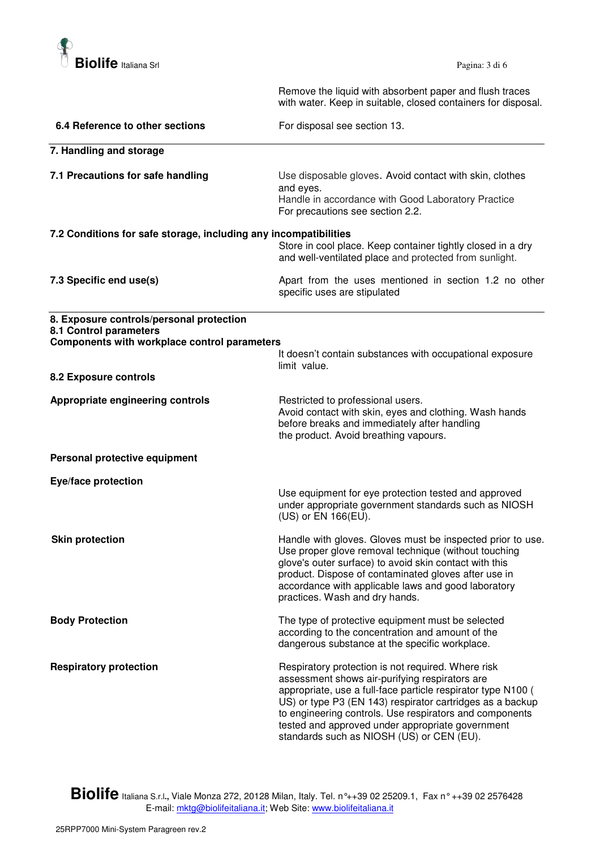

 Remove the liquid with absorbent paper and flush traces with water. Keep in suitable, closed containers for disposal.

| 6.4 Reference to other sections                                                                                    | For disposal see section 13.                                                                                                                                                                                                                                                                                                                                                                  |
|--------------------------------------------------------------------------------------------------------------------|-----------------------------------------------------------------------------------------------------------------------------------------------------------------------------------------------------------------------------------------------------------------------------------------------------------------------------------------------------------------------------------------------|
| 7. Handling and storage                                                                                            |                                                                                                                                                                                                                                                                                                                                                                                               |
| 7.1 Precautions for safe handling                                                                                  | Use disposable gloves. Avoid contact with skin, clothes<br>and eyes.<br>Handle in accordance with Good Laboratory Practice<br>For precautions see section 2.2.                                                                                                                                                                                                                                |
| 7.2 Conditions for safe storage, including any incompatibilities                                                   | Store in cool place. Keep container tightly closed in a dry<br>and well-ventilated place and protected from sunlight.                                                                                                                                                                                                                                                                         |
| 7.3 Specific end use(s)                                                                                            | Apart from the uses mentioned in section 1.2 no other<br>specific uses are stipulated                                                                                                                                                                                                                                                                                                         |
| 8. Exposure controls/personal protection<br>8.1 Control parameters<br>Components with workplace control parameters | It doesn't contain substances with occupational exposure                                                                                                                                                                                                                                                                                                                                      |
| 8.2 Exposure controls                                                                                              | limit value.                                                                                                                                                                                                                                                                                                                                                                                  |
| Appropriate engineering controls                                                                                   | Restricted to professional users.<br>Avoid contact with skin, eyes and clothing. Wash hands<br>before breaks and immediately after handling<br>the product. Avoid breathing vapours.                                                                                                                                                                                                          |
| Personal protective equipment                                                                                      |                                                                                                                                                                                                                                                                                                                                                                                               |
| Eye/face protection                                                                                                | Use equipment for eye protection tested and approved<br>under appropriate government standards such as NIOSH<br>(US) or EN 166(EU).                                                                                                                                                                                                                                                           |
| <b>Skin protection</b>                                                                                             | Handle with gloves. Gloves must be inspected prior to use.<br>Use proper glove removal technique (without touching<br>glove's outer surface) to avoid skin contact with this<br>product. Dispose of contaminated gloves after use in<br>accordance with applicable laws and good laboratory<br>practices. Wash and dry hands.                                                                 |
| <b>Body Protection</b>                                                                                             | The type of protective equipment must be selected<br>according to the concentration and amount of the<br>dangerous substance at the specific workplace.                                                                                                                                                                                                                                       |
| <b>Respiratory protection</b>                                                                                      | Respiratory protection is not required. Where risk<br>assessment shows air-purifying respirators are<br>appropriate, use a full-face particle respirator type N100 (<br>US) or type P3 (EN 143) respirator cartridges as a backup<br>to engineering controls. Use respirators and components<br>tested and approved under appropriate government<br>standards such as NIOSH (US) or CEN (EU). |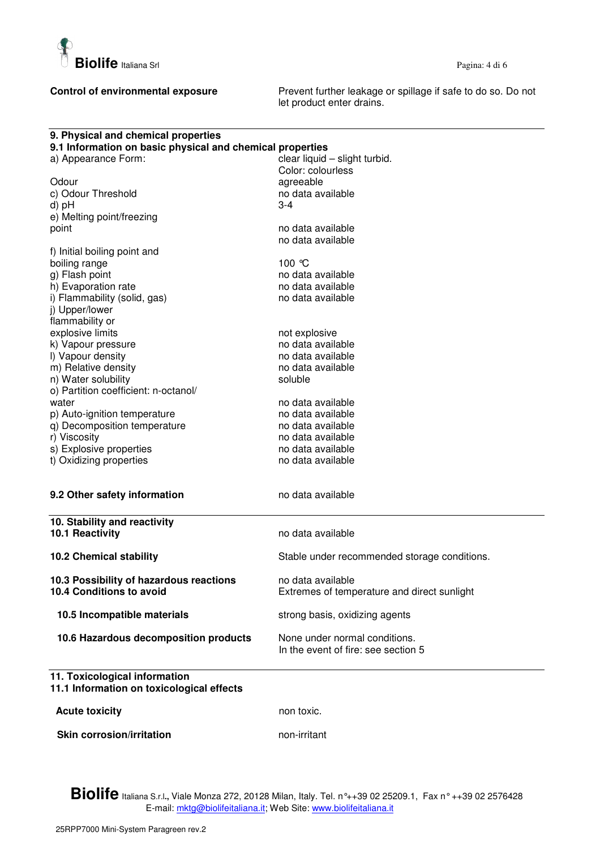

**Control of environmental exposure** Prevent further leakage or spillage if safe to do so. Do not let product enter drains.

| 9. Physical and chemical properties                       |                                              |
|-----------------------------------------------------------|----------------------------------------------|
| 9.1 Information on basic physical and chemical properties |                                              |
| a) Appearance Form:                                       | clear liquid - slight turbid.                |
|                                                           | Color: colourless                            |
| Odour                                                     | agreeable                                    |
| c) Odour Threshold                                        | no data available                            |
| d) pH                                                     | 3-4                                          |
| e) Melting point/freezing                                 |                                              |
| point                                                     | no data available                            |
|                                                           | no data available                            |
| f) Initial boiling point and                              |                                              |
| boiling range                                             | 100 ℃                                        |
| g) Flash point                                            | no data available                            |
| h) Evaporation rate                                       | no data available                            |
| i) Flammability (solid, gas)                              | no data available                            |
| j) Upper/lower                                            |                                              |
| flammability or                                           |                                              |
| explosive limits                                          | not explosive                                |
| k) Vapour pressure                                        | no data available                            |
| I) Vapour density                                         | no data available                            |
| m) Relative density                                       | no data available                            |
| n) Water solubility                                       | soluble                                      |
| o) Partition coefficient: n-octanol/                      |                                              |
| water                                                     |                                              |
|                                                           | no data available<br>no data available       |
| p) Auto-ignition temperature                              |                                              |
| q) Decomposition temperature                              | no data available                            |
| r) Viscosity                                              | no data available                            |
| s) Explosive properties                                   | no data available                            |
| t) Oxidizing properties                                   | no data available                            |
|                                                           |                                              |
| 9.2 Other safety information                              | no data available                            |
| 10. Stability and reactivity                              |                                              |
| 10.1 Reactivity                                           | no data available                            |
|                                                           |                                              |
| <b>10.2 Chemical stability</b>                            | Stable under recommended storage conditions. |
| 10.3 Possibility of hazardous reactions                   | no data available                            |
| 10.4 Conditions to avoid                                  | Extremes of temperature and direct sunlight  |
|                                                           |                                              |
| 10.5 Incompatible materials                               | strong basis, oxidizing agents               |
| 10.6 Hazardous decomposition products                     | None under normal conditions.                |
|                                                           | In the event of fire: see section 5          |
| 11. Toxicological information                             |                                              |
| 11.1 Information on toxicological effects                 |                                              |
| <b>Acute toxicity</b>                                     | non toxic.                                   |
| <b>Skin corrosion/irritation</b>                          | non-irritant                                 |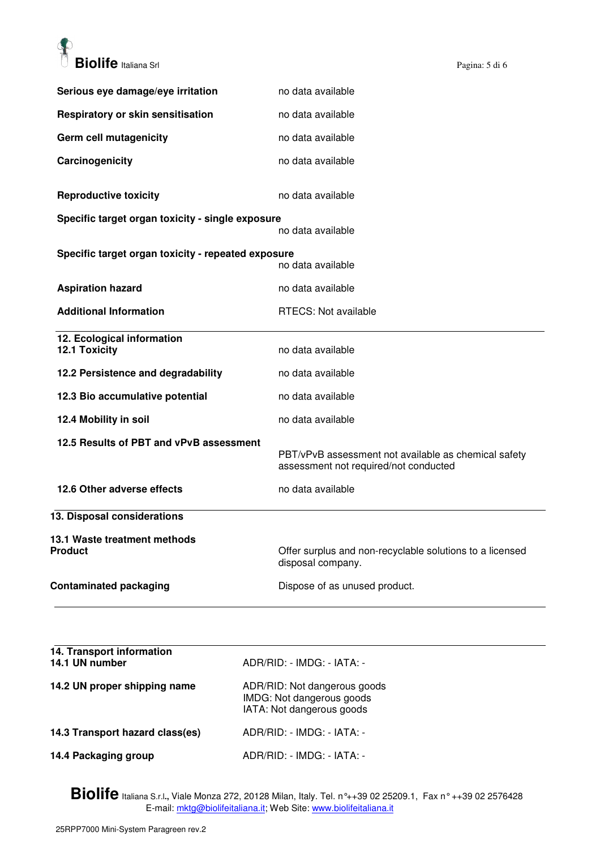

| Serious eye damage/eye irritation                  | no data available                                                                             |
|----------------------------------------------------|-----------------------------------------------------------------------------------------------|
| Respiratory or skin sensitisation                  | no data available                                                                             |
| Germ cell mutagenicity                             | no data available                                                                             |
| Carcinogenicity                                    | no data available                                                                             |
| <b>Reproductive toxicity</b>                       | no data available                                                                             |
| Specific target organ toxicity - single exposure   | no data available                                                                             |
| Specific target organ toxicity - repeated exposure |                                                                                               |
|                                                    | no data available                                                                             |
| <b>Aspiration hazard</b>                           | no data available                                                                             |
| <b>Additional Information</b>                      | RTECS: Not available                                                                          |
| 12. Ecological information<br>12.1 Toxicity        | no data available                                                                             |
| 12.2 Persistence and degradability                 | no data available                                                                             |
| 12.3 Bio accumulative potential                    | no data available                                                                             |
| 12.4 Mobility in soil                              | no data available                                                                             |
| 12.5 Results of PBT and vPvB assessment            | PBT/vPvB assessment not available as chemical safety<br>assessment not required/not conducted |
| 12.6 Other adverse effects                         | no data available                                                                             |
| 13. Disposal considerations                        |                                                                                               |
| 13.1 Waste treatment methods<br><b>Product</b>     | Offer surplus and non-recyclable solutions to a licensed<br>disposal company.                 |
| <b>Contaminated packaging</b>                      | Dispose of as unused product.                                                                 |
|                                                    |                                                                                               |

| 14. Transport information<br>14.1 UN number | ADR/RID: - IMDG: - IATA: -                                                             |
|---------------------------------------------|----------------------------------------------------------------------------------------|
| 14.2 UN proper shipping name                | ADR/RID: Not dangerous goods<br>IMDG: Not dangerous goods<br>IATA: Not dangerous goods |
| 14.3 Transport hazard class(es)             | ADR/RID: - IMDG: - IATA: -                                                             |
| 14.4 Packaging group                        | ADR/RID: - IMDG: - IATA: -                                                             |